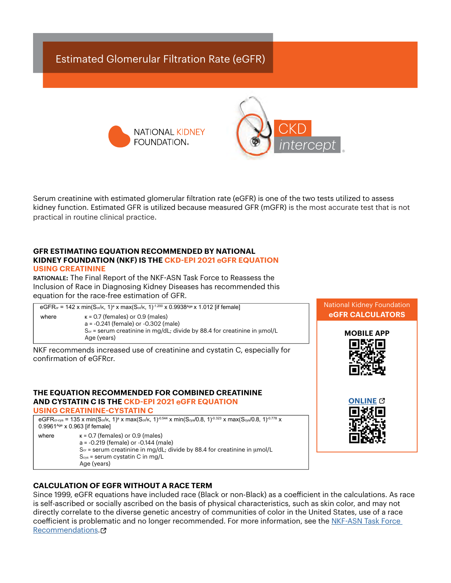# Estimated Glomerular Filtration Rate (eGFR)





Serum creatinine with estimated glomerular filtration rate (eGFR) is one of the two tests utilized to assess kidney function. Estimated GFR is utilized because measured GFR (mGFR) is the most accurate test that is not practical in routine clinical practice.

#### **GFR ESTIMATING EQUATION RECOMMENDED BY NATIONAL KIDNEY FOUNDATION (NKF) IS THE CKD-EPI 2021** e**GFR EQUATION USING CREATININE**

RATIONALE: The Final Report of the NKF-ASN Task Force to Reassess the Inclusion of Race in Diagnosing Kidney Diseases has recommended this equation for the race-free estimation of GFR.

eGFR∝ = 142 x min(S∝/κ, 1)ª x max(S∝/κ, 1)<sup>-1.200</sup> x 0.9938<sup>Age</sup> x 1.012 [if female] where  $k = 0.7$  (females) or 0.9 (males) a = -0.241 (female) or -0.302 (male) Scr = serum creatinine in mg/dL; divide by 88.4 for creatinine in μmol/L Age (years)

NKF recommends increased use of creatinine and cystatin C, especially for confirmation of eGFRcr.

#### **THE EQUATION RECOMMENDED FOR COMBINED CREATININE AND CYSTATIN C IS THE CKD-EPI 2021** e**GFR EQUATION USING CREATININE-CYSTATIN C**

 $\mathsf{eGFR}$ cr-cys = 135 x min(Scr/k, 1)ª x max(Scr/k, 1)<sup>-0.544</sup> x min(Scys/0.8, 1)<sup>-0.323</sup> x max(Scys/0.8, 1)<sup>-0.778</sup> x 0.9961<sup>Age</sup> x 0.963 [if female] where  $k = 0.7$  (females) or 0.9 (males) a = -0.219 (female) or -0.144 (male) Scr = serum creatinine in mg/dL; divide by 88.4 for creatinine in μmol/L Scys = serum cystatin C in mg/L Age (years)





## **CALCULATION OF EGFR WITHOUT A RACE TERM**

Since 1999, eGFR equations have included race (Black or non-Black) as a coefficient in the calculations. As race is self-ascribed or socially ascribed on the basis of physical characteristics, such as skin color, and may not directly correlate to the diverse genetic ancestry of communities of color in the United States, use of a race coefficient is problematic and no longer recommended. For more information, see the [NKF-ASN Task Force](https://www.ajkd.org/article/S0272-63862100828-3/fulltext)  [Recommendations](https://www.ajkd.org/article/S0272-63862100828-3/fulltext).<sup>7</sup>